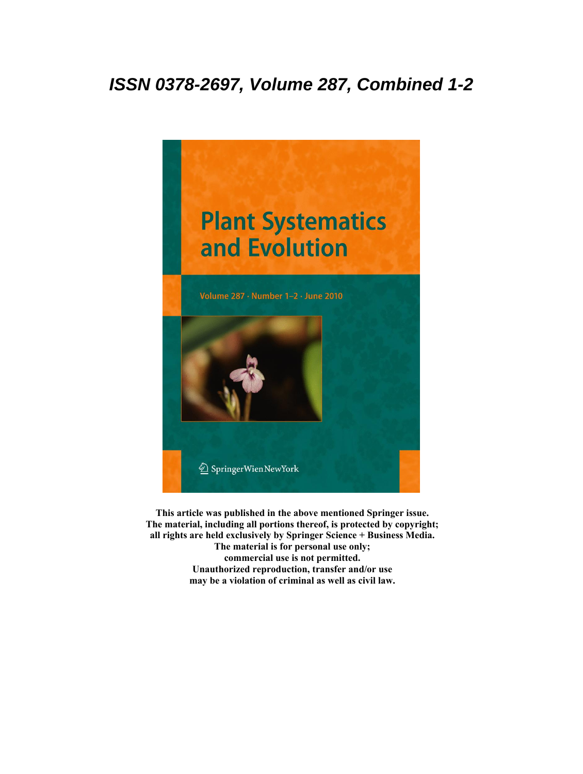# **ISSN 0378-2697, Volume 287, Combined 1-2**



**This article was published in the above mentioned Springer issue. The material, including all portions thereof, is protected by copyright; all rights are held exclusively by Springer Science + Business Media. The material is for personal use only; commercial use is not permitted. Unauthorized reproduction, transfer and/or use may be a violation of criminal as well as civil law.**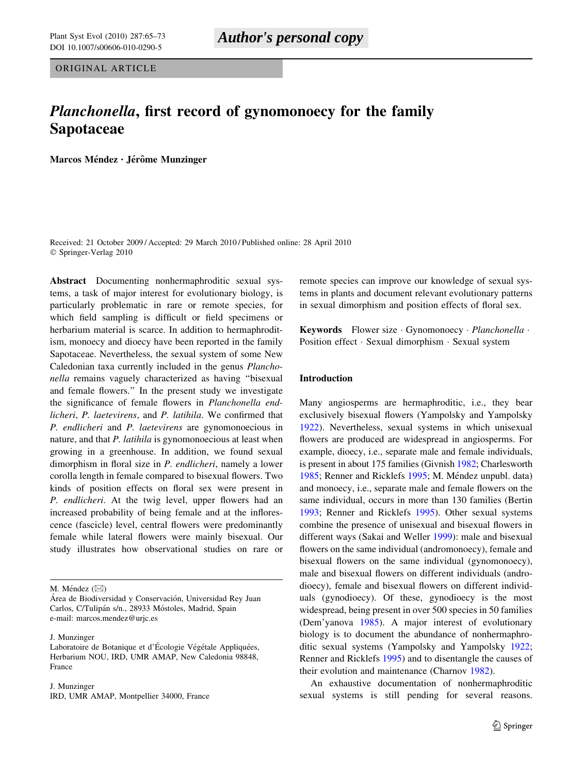ORIGINAL ARTICLE

# Planchonella, first record of gynomonoecy for the family Sapotaceae

Marcos Méndez · Jérôme Munzinger

Received: 21 October 2009 / Accepted: 29 March 2010 / Published online: 28 April 2010 © Springer-Verlag 2010

Abstract Documenting nonhermaphroditic sexual systems, a task of major interest for evolutionary biology, is particularly problematic in rare or remote species, for which field sampling is difficult or field specimens or herbarium material is scarce. In addition to hermaphroditism, monoecy and dioecy have been reported in the family Sapotaceae. Nevertheless, the sexual system of some New Caledonian taxa currently included in the genus Planchonella remains vaguely characterized as having ''bisexual and female flowers.'' In the present study we investigate the significance of female flowers in Planchonella endlicheri, P. laetevirens, and P. latihila. We confirmed that P. endlicheri and P. laetevirens are gynomonoecious in nature, and that *P. latihila* is gynomonoecious at least when growing in a greenhouse. In addition, we found sexual dimorphism in floral size in P. endlicheri, namely a lower corolla length in female compared to bisexual flowers. Two kinds of position effects on floral sex were present in P. endlicheri. At the twig level, upper flowers had an increased probability of being female and at the inflorescence (fascicle) level, central flowers were predominantly female while lateral flowers were mainly bisexual. Our study illustrates how observational studies on rare or

J. Munzinger IRD, UMR AMAP, Montpellier 34000, France remote species can improve our knowledge of sexual systems in plants and document relevant evolutionary patterns in sexual dimorphism and position effects of floral sex.

Keywords Flower size · Gynomonoecy · Planchonella · Position effect · Sexual dimorphism · Sexual system

# Introduction

Many angiosperms are hermaphroditic, i.e., they bear exclusively bisexual flowers (Yampolsky and Yampolsky [1922](#page-9-0)). Nevertheless, sexual systems in which unisexual flowers are produced are widespread in angiosperms. For example, dioecy, i.e., separate male and female individuals, is present in about 175 families (Givnish [1982](#page-8-0); Charlesworth [1985](#page-8-0); Renner and Ricklefs [1995;](#page-9-0) M. Méndez unpubl. data) and monoecy, i.e., separate male and female flowers on the same individual, occurs in more than 130 families (Bertin [1993](#page-8-0); Renner and Ricklefs [1995](#page-9-0)). Other sexual systems combine the presence of unisexual and bisexual flowers in different ways (Sakai and Weller [1999](#page-9-0)): male and bisexual flowers on the same individual (andromonoecy), female and bisexual flowers on the same individual (gynomonoecy), male and bisexual flowers on different individuals (androdioecy), female and bisexual flowers on different individuals (gynodioecy). Of these, gynodioecy is the most widespread, being present in over 500 species in 50 families (Dem'yanova [1985](#page-8-0)). A major interest of evolutionary biology is to document the abundance of nonhermaphroditic sexual systems (Yampolsky and Yampolsky [1922](#page-9-0); Renner and Ricklefs [1995\)](#page-9-0) and to disentangle the causes of their evolution and maintenance (Charnov [1982](#page-8-0)).

An exhaustive documentation of nonhermaphroditic sexual systems is still pending for several reasons.

M. Méndez  $(\boxtimes)$ 

Área de Biodiversidad y Conservación, Universidad Rey Juan Carlos, C/Tulipán s/n., 28933 Móstoles, Madrid, Spain e-mail: marcos.mendez@urjc.es

J. Munzinger

Laboratoire de Botanique et d'Écologie Végétale Appliquées, Herbarium NOU, IRD, UMR AMAP, New Caledonia 98848, France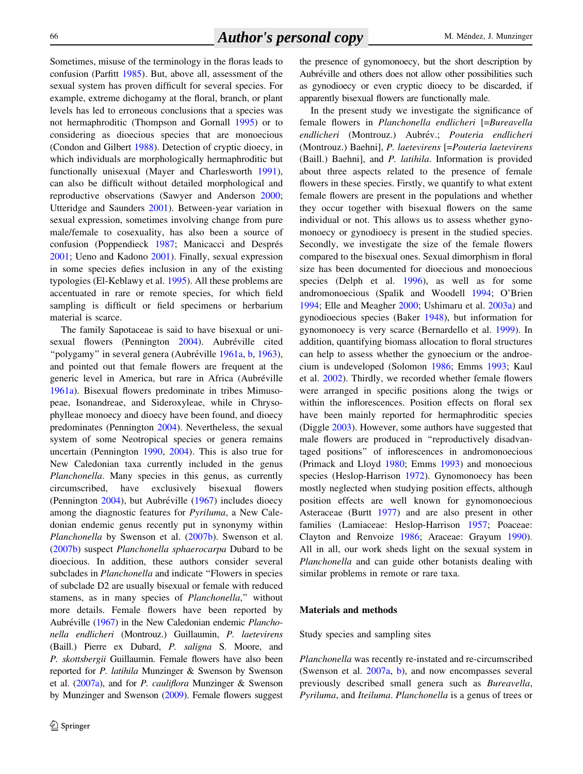Sometimes, misuse of the terminology in the floras leads to confusion (Parfitt [1985\)](#page-9-0). But, above all, assessment of the sexual system has proven difficult for several species. For example, extreme dichogamy at the floral, branch, or plant levels has led to erroneous conclusions that a species was not hermaphroditic (Thompson and Gornall [1995](#page-9-0)) or to considering as dioecious species that are monoecious (Condon and Gilbert [1988](#page-8-0)). Detection of cryptic dioecy, in which individuals are morphologically hermaphroditic but functionally unisexual (Mayer and Charlesworth [1991](#page-9-0)), can also be difficult without detailed morphological and reproductive observations (Sawyer and Anderson [2000](#page-9-0); Utteridge and Saunders [2001](#page-9-0)). Between-year variation in sexual expression, sometimes involving change from pure male/female to cosexuality, has also been a source of confusion (Poppendieck [1987](#page-9-0); Manicacci and Després [2001;](#page-9-0) Ueno and Kadono [2001](#page-9-0)). Finally, sexual expression in some species defies inclusion in any of the existing typologies (El-Keblawy et al. [1995\)](#page-8-0). All these problems are accentuated in rare or remote species, for which field sampling is difficult or field specimens or herbarium material is scarce.

The family Sapotaceae is said to have bisexual or uni-sexual flowers (Pennington [2004](#page-9-0)). Aubréville cited "polygamy" in several genera (Aubréville [1961a](#page-8-0), [b](#page-8-0), [1963](#page-8-0)), and pointed out that female flowers are frequent at the generic level in America, but rare in Africa (Aubréville [1961a](#page-8-0)). Bisexual flowers predominate in tribes Mimusopeae, Isonandreae, and Sideroxyleae, while in Chrysophylleae monoecy and dioecy have been found, and dioecy predominates (Pennington [2004\)](#page-9-0). Nevertheless, the sexual system of some Neotropical species or genera remains uncertain (Pennington [1990](#page-9-0), [2004](#page-9-0)). This is also true for New Caledonian taxa currently included in the genus Planchonella. Many species in this genus, as currently circumscribed, have exclusively bisexual flowers (Pennington  $2004$ ), but Aubréville ([1967\)](#page-8-0) includes dioecy among the diagnostic features for Pyriluma, a New Caledonian endemic genus recently put in synonymy within Planchonella by Swenson et al. [\(2007b](#page-9-0)). Swenson et al. [\(2007b](#page-9-0)) suspect Planchonella sphaerocarpa Dubard to be dioecious. In addition, these authors consider several subclades in *Planchonella* and indicate "Flowers in species" of subclade D2 are usually bisexual or female with reduced stamens, as in many species of *Planchonella*," without more details. Female flowers have been reported by Aubréville [\(1967\)](#page-8-0) in the New Caledonian endemic Planchonella endlicheri (Montrouz.) Guillaumin, P. laetevirens (Baill.) Pierre ex Dubard, P. saligna S. Moore, and P. skottsbergii Guillaumin. Female flowers have also been reported for P. latihila Munzinger & Swenson by Swenson et al. [\(2007a\)](#page-9-0), and for P. cauliflora Munzinger & Swenson by Munzinger and Swenson [\(2009\)](#page-9-0). Female flowers suggest

the presence of gynomonoecy, but the short description by Aubréville and others does not allow other possibilities such as gynodioecy or even cryptic dioecy to be discarded, if apparently bisexual flowers are functionally male.

In the present study we investigate the significance of female flowers in Planchonella endlicheri [=Bureavella endlicheri (Montrouz.) Aubrév.; Pouteria endlicheri (Montrouz.) Baehni], P. laetevirens [=Pouteria laetevirens (Baill.) Baehni], and P. latihila. Information is provided about three aspects related to the presence of female flowers in these species. Firstly, we quantify to what extent female flowers are present in the populations and whether they occur together with bisexual flowers on the same individual or not. This allows us to assess whether gynomonoecy or gynodioecy is present in the studied species. Secondly, we investigate the size of the female flowers compared to the bisexual ones. Sexual dimorphism in floral size has been documented for dioecious and monoecious species (Delph et al. [1996\)](#page-8-0), as well as for some andromonoecious (Spalik and Woodell [1994;](#page-9-0) O'Brien [1994](#page-9-0); Elle and Meagher [2000](#page-8-0); Ushimaru et al. [2003a](#page-9-0)) and gynodioecious species (Baker [1948\)](#page-8-0), but information for gynomonoecy is very scarce (Bernardello et al. [1999](#page-8-0)). In addition, quantifying biomass allocation to floral structures can help to assess whether the gynoecium or the androecium is undeveloped (Solomon [1986;](#page-9-0) Emms [1993;](#page-8-0) Kaul et al. [2002\)](#page-8-0). Thirdly, we recorded whether female flowers were arranged in specific positions along the twigs or within the inflorescences. Position effects on floral sex have been mainly reported for hermaphroditic species (Diggle [2003](#page-8-0)). However, some authors have suggested that male flowers are produced in ''reproductively disadvantaged positions'' of inflorescences in andromonoecious (Primack and Lloyd [1980](#page-9-0); Emms [1993\)](#page-8-0) and monoecious species (Heslop-Harrison [1972\)](#page-8-0). Gynomonoecy has been mostly neglected when studying position effects, although position effects are well known for gynomonoecious Asteraceae (Burtt [1977\)](#page-8-0) and are also present in other families (Lamiaceae: Heslop-Harrison [1957;](#page-8-0) Poaceae: Clayton and Renvoize [1986;](#page-8-0) Araceae: Grayum [1990](#page-8-0)). All in all, our work sheds light on the sexual system in Planchonella and can guide other botanists dealing with similar problems in remote or rare taxa.

# Materials and methods

# Study species and sampling sites

Planchonella was recently re-instated and re-circumscribed (Swenson et al. [2007a,](#page-9-0) [b](#page-9-0)), and now encompasses several previously described small genera such as Bureavella, Pyriluma, and Iteiluma. Planchonella is a genus of trees or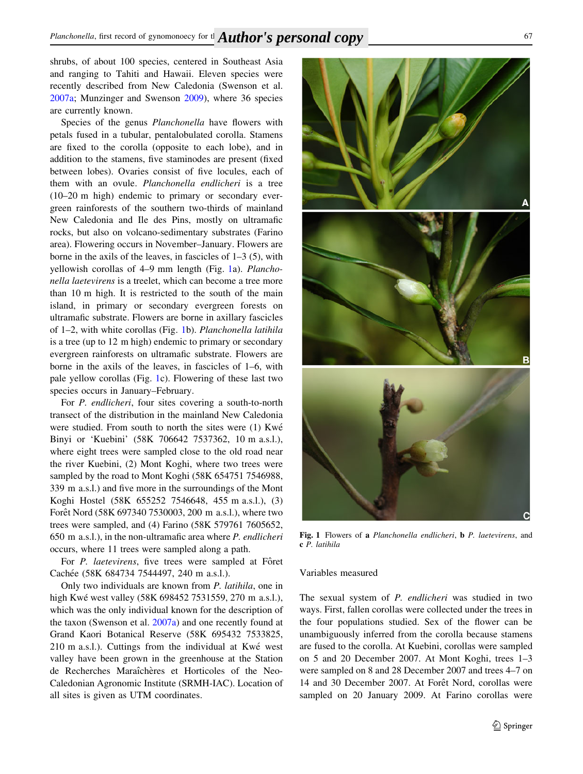shrubs, of about 100 species, centered in Southeast Asia and ranging to Tahiti and Hawaii. Eleven species were recently described from New Caledonia (Swenson et al. [2007a](#page-9-0); Munzinger and Swenson [2009](#page-9-0)), where 36 species are currently known.

Species of the genus Planchonella have flowers with petals fused in a tubular, pentalobulated corolla. Stamens are fixed to the corolla (opposite to each lobe), and in addition to the stamens, five staminodes are present (fixed between lobes). Ovaries consist of five locules, each of them with an ovule. Planchonella endlicheri is a tree (10–20 m high) endemic to primary or secondary evergreen rainforests of the southern two-thirds of mainland New Caledonia and Ile des Pins, mostly on ultramafic rocks, but also on volcano-sedimentary substrates (Farino area). Flowering occurs in November–January. Flowers are borne in the axils of the leaves, in fascicles of 1–3 (5), with yellowish corollas of 4–9 mm length (Fig. 1a). Planchonella laetevirens is a treelet, which can become a tree more than 10 m high. It is restricted to the south of the main island, in primary or secondary evergreen forests on ultramafic substrate. Flowers are borne in axillary fascicles of 1–2, with white corollas (Fig. 1b). Planchonella latihila is a tree (up to 12 m high) endemic to primary or secondary evergreen rainforests on ultramafic substrate. Flowers are borne in the axils of the leaves, in fascicles of 1–6, with pale yellow corollas (Fig. 1c). Flowering of these last two species occurs in January–February.

For P. endlicheri, four sites covering a south-to-north transect of the distribution in the mainland New Caledonia were studied. From south to north the sites were (1) Kwé Binyi or 'Kuebini' (58K 706642 7537362, 10 m a.s.l.), where eight trees were sampled close to the old road near the river Kuebini, (2) Mont Koghi, where two trees were sampled by the road to Mont Koghi (58K 654751 7546988, 339 m a.s.l.) and five more in the surroundings of the Mont Koghi Hostel (58K 655252 7546648, 455 m a.s.l.), (3) Forêt Nord (58K 697340 7530003, 200 m a.s.l.), where two trees were sampled, and (4) Farino (58K 579761 7605652, 650 m a.s.l.), in the non-ultramafic area where P. endlicheri occurs, where 11 trees were sampled along a path.

For P. laetevirens, five trees were sampled at Fôret Cachée (58K 684734 7544497, 240 m a.s.l.).

Only two individuals are known from P. latihila, one in high Kwé west valley (58K 698452 7531559, 270 m a.s.l.), which was the only individual known for the description of the taxon (Swenson et al. [2007a](#page-9-0)) and one recently found at Grand Kaori Botanical Reserve (58K 695432 7533825, 210 m a.s.l.). Cuttings from the individual at Kwé west valley have been grown in the greenhouse at the Station de Recherches Maraîchères et Horticoles of the Neo-Caledonian Agronomic Institute (SRMH-IAC). Location of all sites is given as UTM coordinates.



Fig. 1 Flowers of a Planchonella endlicheri, b P. laetevirens, and c P. latihila

#### Variables measured

The sexual system of P. endlicheri was studied in two ways. First, fallen corollas were collected under the trees in the four populations studied. Sex of the flower can be unambiguously inferred from the corolla because stamens are fused to the corolla. At Kuebini, corollas were sampled on 5 and 20 December 2007. At Mont Koghi, trees 1–3 were sampled on 8 and 28 December 2007 and trees 4–7 on 14 and 30 December 2007. At Forêt Nord, corollas were sampled on 20 January 2009. At Farino corollas were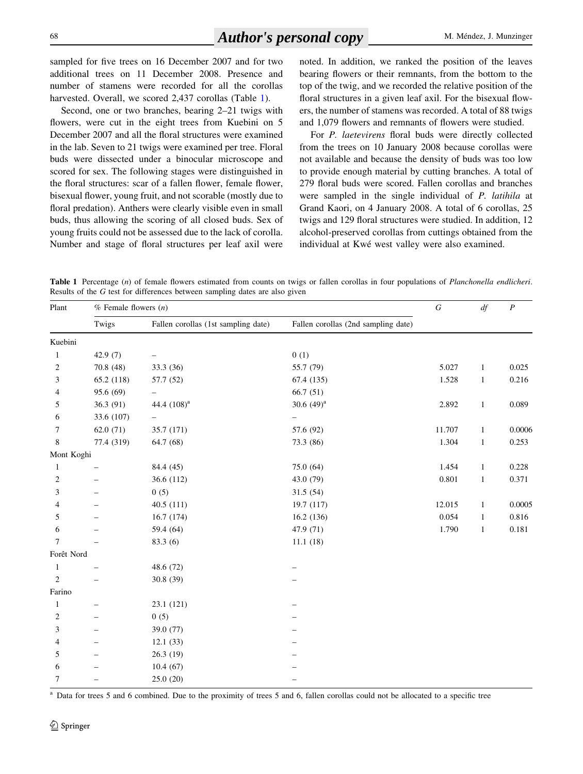<span id="page-4-0"></span>sampled for five trees on 16 December 2007 and for two additional trees on 11 December 2008. Presence and number of stamens were recorded for all the corollas harvested. Overall, we scored 2,437 corollas (Table 1).

Second, one or two branches, bearing 2–21 twigs with flowers, were cut in the eight trees from Kuebini on 5 December 2007 and all the floral structures were examined in the lab. Seven to 21 twigs were examined per tree. Floral buds were dissected under a binocular microscope and scored for sex. The following stages were distinguished in the floral structures: scar of a fallen flower, female flower, bisexual flower, young fruit, and not scorable (mostly due to floral predation). Anthers were clearly visible even in small buds, thus allowing the scoring of all closed buds. Sex of young fruits could not be assessed due to the lack of corolla. Number and stage of floral structures per leaf axil were

noted. In addition, we ranked the position of the leaves bearing flowers or their remnants, from the bottom to the top of the twig, and we recorded the relative position of the floral structures in a given leaf axil. For the bisexual flowers, the number of stamens was recorded. A total of 88 twigs and 1,079 flowers and remnants of flowers were studied.

For P. laetevirens floral buds were directly collected from the trees on 10 January 2008 because corollas were not available and because the density of buds was too low to provide enough material by cutting branches. A total of 279 floral buds were scored. Fallen corollas and branches were sampled in the single individual of P. latihila at Grand Kaori, on 4 January 2008. A total of 6 corollas, 25 twigs and 129 floral structures were studied. In addition, 12 alcohol-preserved corollas from cuttings obtained from the individual at Kwé west valley were also examined.

Table 1 Percentage (n) of female flowers estimated from counts on twigs or fallen corollas in four populations of Planchonella endlicheri. Results of the G test for differences between sampling dates are also given

| Plant          | $%$ Female flowers $(n)$ |                                     |                                     | $\cal G$ | df           | $\boldsymbol{P}$ |
|----------------|--------------------------|-------------------------------------|-------------------------------------|----------|--------------|------------------|
|                | Twigs                    | Fallen corollas (1st sampling date) | Fallen corollas (2nd sampling date) |          |              |                  |
| Kuebini        |                          |                                     |                                     |          |              |                  |
| $\mathbf{1}$   | 42.9 $(7)$               |                                     | 0(1)                                |          |              |                  |
| $\overline{c}$ | 70.8 (48)                | 33.3 (36)                           | 55.7 (79)                           | 5.027    | $\mathbf{1}$ | 0.025            |
| 3              | 65.2 (118)               | 57.7 (52)                           | 67.4 (135)                          | 1.528    | $\mathbf{1}$ | 0.216            |
| 4              | 95.6 (69)                | -                                   | 66.7(51)                            |          |              |                  |
| 5              | 36.3 (91)                | 44.4 (108) <sup>a</sup>             | 30.6 $(49)^a$                       | 2.892    | $\mathbf{1}$ | 0.089            |
| 6              | 33.6 (107)               | $\overline{\phantom{0}}$            | $\overline{\phantom{0}}$            |          |              |                  |
| 7              | 62.0(71)                 | 35.7 (171)                          | 57.6 (92)                           | 11.707   | $\mathbf{1}$ | 0.0006           |
| 8              | 77.4 (319)               | 64.7 (68)                           | 73.3 (86)                           | 1.304    | $\mathbf{1}$ | 0.253            |
| Mont Koghi     |                          |                                     |                                     |          |              |                  |
| $\mathbf{1}$   | $\qquad \qquad -$        | 84.4 (45)                           | 75.0 (64)                           | 1.454    | $\mathbf{1}$ | 0.228            |
| $\overline{c}$ |                          | 36.6 (112)                          | 43.0 (79)                           | 0.801    | $\mathbf{1}$ | 0.371            |
| 3              |                          | 0(5)                                | 31.5 (54)                           |          |              |                  |
| 4              |                          | 40.5 (111)                          | 19.7 (117)                          | 12.015   | $\mathbf{1}$ | 0.0005           |
| 5              | $\overline{\phantom{0}}$ | 16.7(174)                           | 16.2 (136)                          | 0.054    | $\mathbf{1}$ | 0.816            |
| 6              |                          | 59.4 (64)                           | 47.9 (71)                           | 1.790    | $\mathbf{1}$ | 0.181            |
| $\overline{7}$ |                          | 83.3 (6)                            | 11.1(18)                            |          |              |                  |
| Forêt Nord     |                          |                                     |                                     |          |              |                  |
| $\mathbf{1}$   |                          | 48.6 (72)                           |                                     |          |              |                  |
| $\overline{2}$ |                          | 30.8 (39)                           |                                     |          |              |                  |
| Farino         |                          |                                     |                                     |          |              |                  |
| $\mathbf{1}$   |                          | 23.1 (121)                          |                                     |          |              |                  |
| 2              |                          | 0(5)                                |                                     |          |              |                  |
| 3              |                          | 39.0 (77)                           |                                     |          |              |                  |
| 4              |                          | 12.1(33)                            |                                     |          |              |                  |
| 5              |                          | 26.3(19)                            |                                     |          |              |                  |
| 6              |                          | 10.4(67)                            |                                     |          |              |                  |
| $\tau$         |                          | 25.0 (20)                           |                                     |          |              |                  |
|                |                          |                                     |                                     |          |              |                  |

<sup>a</sup> Data for trees 5 and 6 combined. Due to the proximity of trees 5 and 6, fallen corollas could not be allocated to a specific tree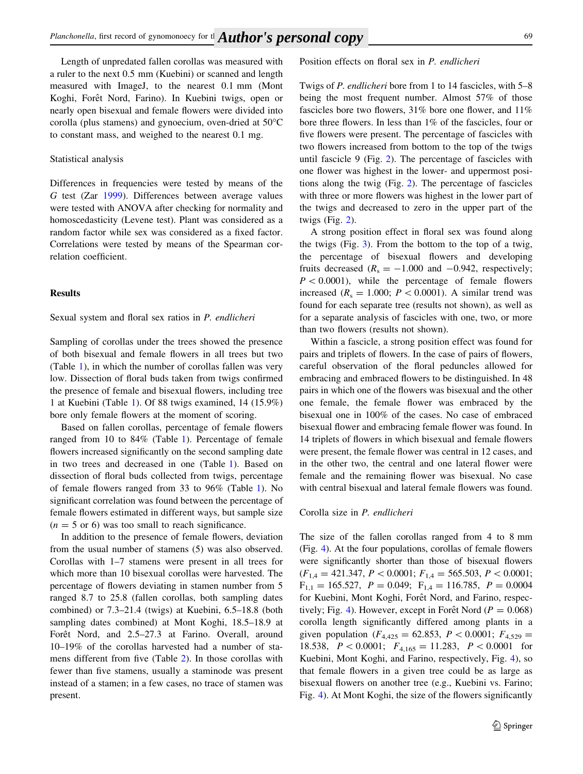Length of unpredated fallen corollas was measured with a ruler to the next 0.5 mm (Kuebini) or scanned and length measured with ImageJ, to the nearest 0.1 mm (Mont Koghi, Forêt Nord, Farino). In Kuebini twigs, open or nearly open bisexual and female flowers were divided into corolla (plus stamens) and gynoecium, oven-dried at  $50^{\circ}$ C to constant mass, and weighed to the nearest 0.1 mg.

#### Statistical analysis

Differences in frequencies were tested by means of the G test (Zar [1999](#page-9-0)). Differences between average values were tested with ANOVA after checking for normality and homoscedasticity (Levene test). Plant was considered as a random factor while sex was considered as a fixed factor. Correlations were tested by means of the Spearman correlation coefficient.

## Results

#### Sexual system and floral sex ratios in P. endlicheri

Sampling of corollas under the trees showed the presence of both bisexual and female flowers in all trees but two (Table [1](#page-4-0)), in which the number of corollas fallen was very low. Dissection of floral buds taken from twigs confirmed the presence of female and bisexual flowers, including tree 1 at Kuebini (Table [1](#page-4-0)). Of 88 twigs examined, 14 (15.9%) bore only female flowers at the moment of scoring.

Based on fallen corollas, percentage of female flowers ranged from 10 to 84% (Table [1](#page-4-0)). Percentage of female flowers increased significantly on the second sampling date in two trees and decreased in one (Table [1\)](#page-4-0). Based on dissection of floral buds collected from twigs, percentage of female flowers ranged from 33 to 96% (Table [1\)](#page-4-0). No significant correlation was found between the percentage of female flowers estimated in different ways, but sample size  $(n = 5 \text{ or } 6)$  was too small to reach significance.

In addition to the presence of female flowers, deviation from the usual number of stamens (5) was also observed. Corollas with 1–7 stamens were present in all trees for which more than 10 bisexual corollas were harvested. The percentage of flowers deviating in stamen number from 5 ranged 8.7 to 25.8 (fallen corollas, both sampling dates combined) or 7.3–21.4 (twigs) at Kuebini, 6.5–18.8 (both sampling dates combined) at Mont Koghi, 18.5–18.9 at Forêt Nord, and 2.5–27.3 at Farino. Overall, around 10–19% of the corollas harvested had a number of stamens different from five (Table [2\)](#page-6-0). In those corollas with fewer than five stamens, usually a staminode was present instead of a stamen; in a few cases, no trace of stamen was present.

#### Position effects on floral sex in P. endlicheri

Twigs of P. endlicheri bore from 1 to 14 fascicles, with 5–8 being the most frequent number. Almost 57% of those fascicles bore two flowers, 31% bore one flower, and 11% bore three flowers. In less than 1% of the fascicles, four or five flowers were present. The percentage of fascicles with two flowers increased from bottom to the top of the twigs until fascicle 9 (Fig. [2](#page-6-0)). The percentage of fascicles with one flower was highest in the lower- and uppermost positions along the twig (Fig. [2\)](#page-6-0). The percentage of fascicles with three or more flowers was highest in the lower part of the twigs and decreased to zero in the upper part of the twigs (Fig. [2\)](#page-6-0).

A strong position effect in floral sex was found along the twigs (Fig. [3](#page-6-0)). From the bottom to the top of a twig, the percentage of bisexual flowers and developing fruits decreased  $(R_s = -1.000$  and  $-0.942$ , respectively;  $P < 0.0001$ , while the percentage of female flowers increased ( $R_s = 1.000$ ;  $P \lt 0.0001$ ). A similar trend was found for each separate tree (results not shown), as well as for a separate analysis of fascicles with one, two, or more than two flowers (results not shown).

Within a fascicle, a strong position effect was found for pairs and triplets of flowers. In the case of pairs of flowers, careful observation of the floral peduncles allowed for embracing and embraced flowers to be distinguished. In 48 pairs in which one of the flowers was bisexual and the other one female, the female flower was embraced by the bisexual one in 100% of the cases. No case of embraced bisexual flower and embracing female flower was found. In 14 triplets of flowers in which bisexual and female flowers were present, the female flower was central in 12 cases, and in the other two, the central and one lateral flower were female and the remaining flower was bisexual. No case with central bisexual and lateral female flowers was found.

## Corolla size in P. endlicheri

The size of the fallen corollas ranged from 4 to 8 mm (Fig. [4\)](#page-7-0). At the four populations, corollas of female flowers were significantly shorter than those of bisexual flowers  $(F_{1,4} = 421.347, P < 0.0001; F_{1,4} = 565.503, P < 0.0001;$  $F_{1,1} = 165.527$ ,  $P = 0.049$ ;  $F_{1,4} = 116.785$ ,  $P = 0.0004$ for Kuebini, Mont Koghi, Forêt Nord, and Farino, respec-tively; Fig. [4\)](#page-7-0). However, except in Forêt Nord ( $P = 0.068$ ) corolla length significantly differed among plants in a given population ( $F_{4,425} = 62.853$ ,  $P < 0.0001$ ;  $F_{4,529} =$ 18.538,  $P < 0.0001$ ;  $F_{4,165} = 11.283$ ,  $P < 0.0001$  for Kuebini, Mont Koghi, and Farino, respectively, Fig. [4\)](#page-7-0), so that female flowers in a given tree could be as large as bisexual flowers on another tree (e.g., Kuebini vs. Farino; Fig. [4](#page-7-0)). At Mont Koghi, the size of the flowers significantly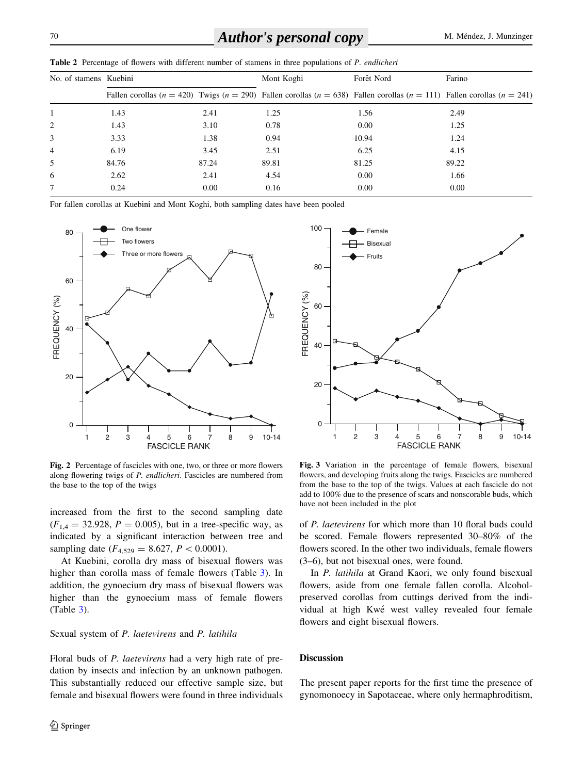# <span id="page-6-0"></span>70 **Author's personal copy M. Méndez, J. Munzinger Author's personal copy M. Méndez, J. Munzinger**

| Table 2 Percentage of flowers with different number of stamens in three populations of P. endlicheri |  |
|------------------------------------------------------------------------------------------------------|--|
|------------------------------------------------------------------------------------------------------|--|

| No. of stamens Kuebini |       |       | Mont Koghi                                                                                                                                  | Forêt Nord | Farino |  |
|------------------------|-------|-------|---------------------------------------------------------------------------------------------------------------------------------------------|------------|--------|--|
|                        |       |       | Fallen corollas ( $n = 420$ ) Twigs ( $n = 290$ ) Fallen corollas ( $n = 638$ ) Fallen corollas ( $n = 111$ ) Fallen corollas ( $n = 241$ ) |            |        |  |
| -1                     | 1.43  | 2.41  | 1.25                                                                                                                                        | 1.56       | 2.49   |  |
| 2                      | 1.43  | 3.10  | 0.78                                                                                                                                        | 0.00       | 1.25   |  |
| 3                      | 3.33  | 1.38  | 0.94                                                                                                                                        | 10.94      | 1.24   |  |
| $\overline{4}$         | 6.19  | 3.45  | 2.51                                                                                                                                        | 6.25       | 4.15   |  |
| 5                      | 84.76 | 87.24 | 89.81                                                                                                                                       | 81.25      | 89.22  |  |
| 6                      | 2.62  | 2.41  | 4.54                                                                                                                                        | 0.00       | 1.66   |  |
| 7                      | 0.24  | 0.00  | 0.16                                                                                                                                        | 0.00       | 0.00   |  |

For fallen corollas at Kuebini and Mont Koghi, both sampling dates have been pooled



Fig. 2 Percentage of fascicles with one, two, or three or more flowers along flowering twigs of P. endlicheri. Fascicles are numbered from the base to the top of the twigs

increased from the first to the second sampling date  $(F_{1,4} = 32.928, P = 0.005)$ , but in a tree-specific way, as indicated by a significant interaction between tree and sampling date  $(F_{4,529} = 8.627, P < 0.0001)$ .

At Kuebini, corolla dry mass of bisexual flowers was higher than corolla mass of female flowers (Table [3\)](#page-7-0). In addition, the gynoecium dry mass of bisexual flowers was higher than the gynoecium mass of female flowers (Table [3](#page-7-0)).

# Sexual system of P. laetevirens and P. latihila

Floral buds of P. laetevirens had a very high rate of predation by insects and infection by an unknown pathogen. This substantially reduced our effective sample size, but female and bisexual flowers were found in three individuals



Fig. 3 Variation in the percentage of female flowers, bisexual flowers, and developing fruits along the twigs. Fascicles are numbered from the base to the top of the twigs. Values at each fascicle do not add to 100% due to the presence of scars and nonscorable buds, which have not been included in the plot

of P. laetevirens for which more than 10 floral buds could be scored. Female flowers represented 30–80% of the flowers scored. In the other two individuals, female flowers (3–6), but not bisexual ones, were found.

In P. latihila at Grand Kaori, we only found bisexual flowers, aside from one female fallen corolla. Alcoholpreserved corollas from cuttings derived from the individual at high Kwé west valley revealed four female flowers and eight bisexual flowers.

### **Discussion**

The present paper reports for the first time the presence of gynomonoecy in Sapotaceae, where only hermaphroditism,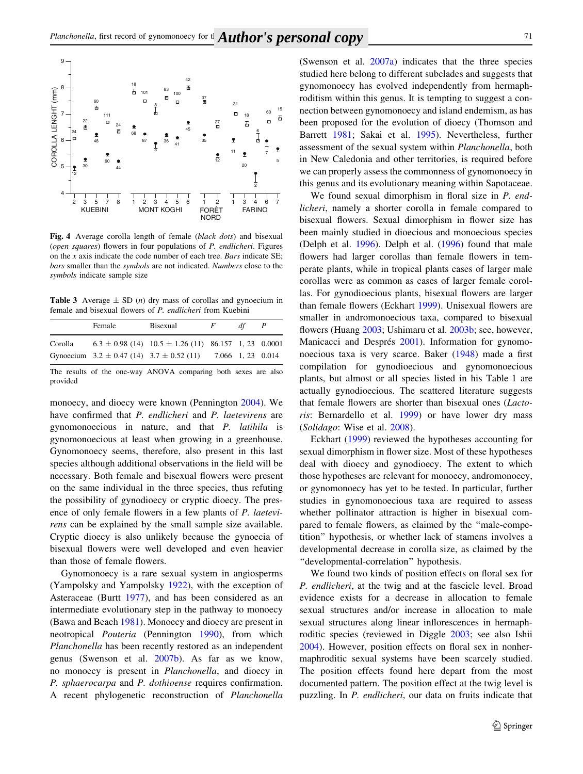<span id="page-7-0"></span>

Fig. 4 Average corolla length of female (black dots) and bisexual (open squares) flowers in four populations of P. endlicheri. Figures on the x axis indicate the code number of each tree. Bars indicate  $SE$ : bars smaller than the symbols are not indicated. Numbers close to the symbols indicate sample size

**Table 3** Average  $\pm$  SD (*n*) dry mass of corollas and gynoecium in female and bisexual flowers of P. endlicheri from Kuebini

|                                                                | Female | Bisexual                                                            | F | df |  |  |
|----------------------------------------------------------------|--------|---------------------------------------------------------------------|---|----|--|--|
| Corolla                                                        |        | $6.3 \pm 0.98$ (14) $10.5 \pm 1.26$ (11) 86.157 1, 23 0.0001        |   |    |  |  |
|                                                                |        | Gynoecium $3.2 \pm 0.47$ (14) $3.7 \pm 0.52$ (11) 7.066 1, 23 0.014 |   |    |  |  |
| The results of the one way ANOVA comparing both sexse are also |        |                                                                     |   |    |  |  |

The results of the one-way ANOVA comparing both sexes are also provided

monoecy, and dioecy were known (Pennington [2004](#page-9-0)). We have confirmed that P. endlicheri and P. laetevirens are gynomonoecious in nature, and that P. latihila is gynomonoecious at least when growing in a greenhouse. Gynomonoecy seems, therefore, also present in this last species although additional observations in the field will be necessary. Both female and bisexual flowers were present on the same individual in the three species, thus refuting the possibility of gynodioecy or cryptic dioecy. The presence of only female flowers in a few plants of P. laetevirens can be explained by the small sample size available. Cryptic dioecy is also unlikely because the gynoecia of bisexual flowers were well developed and even heavier than those of female flowers.

Gynomonoecy is a rare sexual system in angiosperms (Yampolsky and Yampolsky [1922\)](#page-9-0), with the exception of Asteraceae (Burtt [1977](#page-8-0)), and has been considered as an intermediate evolutionary step in the pathway to monoecy (Bawa and Beach [1981\)](#page-8-0). Monoecy and dioecy are present in neotropical Pouteria (Pennington [1990\)](#page-9-0), from which Planchonella has been recently restored as an independent genus (Swenson et al. [2007b\)](#page-9-0). As far as we know, no monoecy is present in Planchonella, and dioecy in P. sphaerocarpa and P. dothioense requires confirmation. A recent phylogenetic reconstruction of Planchonella

(Swenson et al. [2007a\)](#page-9-0) indicates that the three species studied here belong to different subclades and suggests that gynomonoecy has evolved independently from hermaphroditism within this genus. It is tempting to suggest a connection between gynomonoecy and island endemism, as has been proposed for the evolution of dioecy (Thomson and Barrett [1981;](#page-9-0) Sakai et al. [1995](#page-9-0)). Nevertheless, further assessment of the sexual system within Planchonella, both in New Caledonia and other territories, is required before we can properly assess the commonness of gynomonoecy in this genus and its evolutionary meaning within Sapotaceae.

We found sexual dimorphism in floral size in *P. end*licheri, namely a shorter corolla in female compared to bisexual flowers. Sexual dimorphism in flower size has been mainly studied in dioecious and monoecious species (Delph et al. [1996](#page-8-0)). Delph et al. ([1996\)](#page-8-0) found that male flowers had larger corollas than female flowers in temperate plants, while in tropical plants cases of larger male corollas were as common as cases of larger female corollas. For gynodioecious plants, bisexual flowers are larger than female flowers (Eckhart [1999\)](#page-8-0). Unisexual flowers are smaller in andromonoecious taxa, compared to bisexual flowers (Huang [2003](#page-8-0); Ushimaru et al. [2003b](#page-9-0); see, however, Manicacci and Després [2001\)](#page-9-0). Information for gynomonoecious taxa is very scarce. Baker [\(1948](#page-8-0)) made a first compilation for gynodioecious and gynomonoecious plants, but almost or all species listed in his Table 1 are actually gynodioecious. The scattered literature suggests that female flowers are shorter than bisexual ones (Lactoris: Bernardello et al. [1999\)](#page-8-0) or have lower dry mass (Solidago: Wise et al. [2008\)](#page-9-0).

Eckhart [\(1999](#page-8-0)) reviewed the hypotheses accounting for sexual dimorphism in flower size. Most of these hypotheses deal with dioecy and gynodioecy. The extent to which those hypotheses are relevant for monoecy, andromonoecy, or gynomonoecy has yet to be tested. In particular, further studies in gynomonoecious taxa are required to assess whether pollinator attraction is higher in bisexual compared to female flowers, as claimed by the ''male-competition'' hypothesis, or whether lack of stamens involves a developmental decrease in corolla size, as claimed by the ''developmental-correlation'' hypothesis.

We found two kinds of position effects on floral sex for P. endlicheri, at the twig and at the fascicle level. Broad evidence exists for a decrease in allocation to female sexual structures and/or increase in allocation to male sexual structures along linear inflorescences in hermaphroditic species (reviewed in Diggle [2003](#page-8-0); see also Ishii [2004](#page-8-0)). However, position effects on floral sex in nonhermaphroditic sexual systems have been scarcely studied. The position effects found here depart from the most documented pattern. The position effect at the twig level is puzzling. In P. endlicheri, our data on fruits indicate that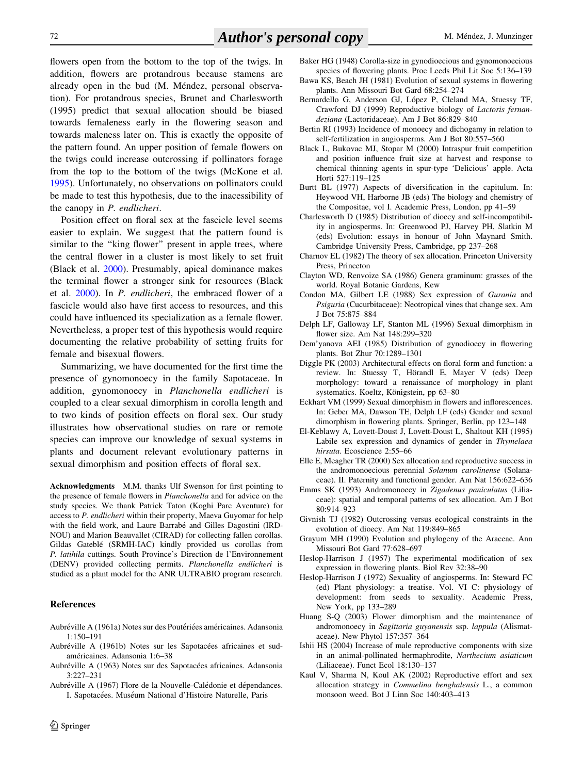<span id="page-8-0"></span>flowers open from the bottom to the top of the twigs. In addition, flowers are protandrous because stamens are already open in the bud (M. Méndez, personal observation). For protandrous species, Brunet and Charlesworth (1995) predict that sexual allocation should be biased towards femaleness early in the flowering season and towards maleness later on. This is exactly the opposite of the pattern found. An upper position of female flowers on the twigs could increase outcrossing if pollinators forage from the top to the bottom of the twigs (McKone et al. [1995\)](#page-9-0). Unfortunately, no observations on pollinators could be made to test this hypothesis, due to the inacessibility of the canopy in P. endlicheri.

Position effect on floral sex at the fascicle level seems easier to explain. We suggest that the pattern found is similar to the "king flower" present in apple trees, where the central flower in a cluster is most likely to set fruit (Black et al. 2000). Presumably, apical dominance makes the terminal flower a stronger sink for resources (Black et al. 2000). In P. endlicheri, the embraced flower of a fascicle would also have first access to resources, and this could have influenced its specialization as a female flower. Nevertheless, a proper test of this hypothesis would require documenting the relative probability of setting fruits for female and bisexual flowers.

Summarizing, we have documented for the first time the presence of gynomonoecy in the family Sapotaceae. In addition, gynomonoecy in Planchonella endlicheri is coupled to a clear sexual dimorphism in corolla length and to two kinds of position effects on floral sex. Our study illustrates how observational studies on rare or remote species can improve our knowledge of sexual systems in plants and document relevant evolutionary patterns in sexual dimorphism and position effects of floral sex.

Acknowledgments M.M. thanks Ulf Swenson for first pointing to the presence of female flowers in Planchonella and for advice on the study species. We thank Patrick Taton (Koghi Parc Aventure) for access to P. endlicheri within their property, Maeva Guyomar for help with the field work, and Laure Barrabé and Gilles Dagostini (IRD-NOU) and Marion Beauvallet (CIRAD) for collecting fallen corollas. Gildas Gateble´ (SRMH-IAC) kindly provided us corollas from P. latihila cuttings. South Province's Direction de l'Environnement (DENV) provided collecting permits. Planchonella endlicheri is studied as a plant model for the ANR ULTRABIO program research.

# References

- Aubréville A (1961a) Notes sur des Poutériées américaines. Adansonia 1:150–191
- Aubréville A (1961b) Notes sur les Sapotacées africaines et sudaméricaines. Adansonia 1:6-38
- Aubréville A (1963) Notes sur des Sapotacées africaines. Adansonia 3:227–231
- Aubréville A (1967) Flore de la Nouvelle-Calédonie et dépendances. I. Sapotacées. Muséum National d'Histoire Naturelle, Paris
- Baker HG (1948) Corolla-size in gynodioecious and gynomonoecious species of flowering plants. Proc Leeds Phil Lit Soc 5:136–139
- Bawa KS, Beach JH (1981) Evolution of sexual systems in flowering plants. Ann Missouri Bot Gard 68:254–274
- Bernardello G, Anderson GJ, López P, Cleland MA, Stuessy TF, Crawford DJ (1999) Reproductive biology of Lactoris fernandeziana (Lactoridaceae). Am J Bot 86:829–840
- Bertin RI (1993) Incidence of monoecy and dichogamy in relation to self-fertilization in angiosperms. Am J Bot 80:557–560
- Black L, Bukovac MJ, Stopar M (2000) Intraspur fruit competition and position influence fruit size at harvest and response to chemical thinning agents in spur-type 'Delicious' apple. Acta Horti 527:119–125
- Burtt BL (1977) Aspects of diversification in the capitulum. In: Heywood VH, Harborne JB (eds) The biology and chemistry of the Compositae, vol I. Academic Press, London, pp 41–59
- Charlesworth D (1985) Distribution of dioecy and self-incompatibility in angiosperms. In: Greenwood PJ, Harvey PH, Slatkin M (eds) Evolution: essays in honour of John Maynard Smith. Cambridge University Press, Cambridge, pp 237–268
- Charnov EL (1982) The theory of sex allocation. Princeton University Press, Princeton
- Clayton WD, Renvoize SA (1986) Genera graminum: grasses of the world. Royal Botanic Gardens, Kew
- Condon MA, Gilbert LE (1988) Sex expression of Gurania and Psiguria (Cucurbitaceae): Neotropical vines that change sex. Am J Bot 75:875–884
- Delph LF, Galloway LF, Stanton ML (1996) Sexual dimorphism in flower size. Am Nat 148:299–320
- Dem'yanova AEI (1985) Distribution of gynodioecy in flowering plants. Bot Zhur 70:1289–1301
- Diggle PK (2003) Architectural effects on floral form and function: a review. In: Stuessy T, Hörandl E, Mayer V (eds) Deep morphology: toward a renaissance of morphology in plant systematics. Koeltz, Königstein, pp 63–80
- Eckhart VM (1999) Sexual dimorphism in flowers and inflorescences. In: Geber MA, Dawson TE, Delph LF (eds) Gender and sexual dimorphism in flowering plants. Springer, Berlin, pp 123–148
- El-Keblawy A, Lovett-Doust J, Lovett-Doust L, Shaltout KH (1995) Labile sex expression and dynamics of gender in Thymelaea hirsuta. Ecoscience 2:55-66
- Elle E, Meagher TR (2000) Sex allocation and reproductive success in the andromonoecious perennial Solanum carolinense (Solanaceae). II. Paternity and functional gender. Am Nat 156:622–636
- Emms SK (1993) Andromonoecy in Zigadenus paniculatus (Liliaceae): spatial and temporal patterns of sex allocation. Am J Bot 80:914–923
- Givnish TJ (1982) Outcrossing versus ecological constraints in the evolution of dioecy. Am Nat 119:849–865
- Grayum MH (1990) Evolution and phylogeny of the Araceae. Ann Missouri Bot Gard 77:628–697
- Heslop-Harrison J (1957) The experimental modification of sex expression in flowering plants. Biol Rev 32:38–90
- Heslop-Harrison J (1972) Sexuality of angiosperms. In: Steward FC (ed) Plant physiology: a treatise. Vol. VI C: physiology of development: from seeds to sexuality. Academic Press, New York, pp 133–289
- Huang S-Q (2003) Flower dimorphism and the maintenance of andromonoecy in Sagittaria guyanensis ssp. lappula (Alismataceae). New Phytol 157:357–364
- Ishii HS (2004) Increase of male reproductive components with size in an animal-pollinated hermaphrodite, Narthecium asiaticum (Liliaceae). Funct Ecol 18:130–137
- Kaul V, Sharma N, Koul AK (2002) Reproductive effort and sex allocation strategy in Commelina benghalensis L., a common monsoon weed. Bot J Linn Soc 140:403–413